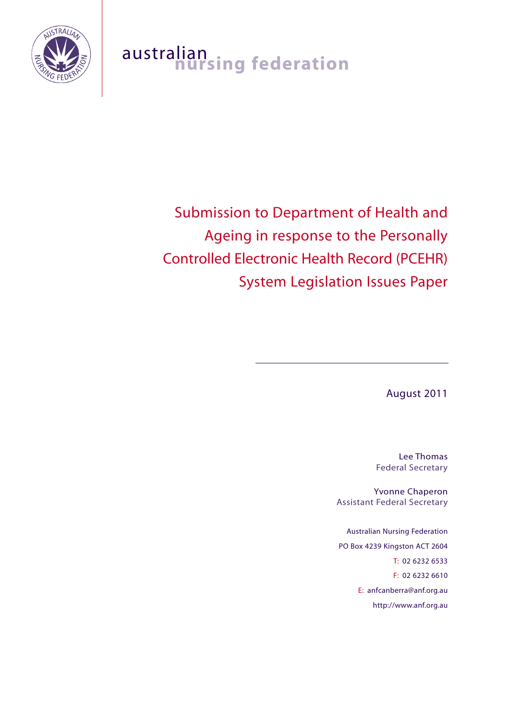

# australian<br>**nursing federation**

# Submission to Department of Health and Ageing in response to the Personally Controlled Electronic Health Record (PCEHR) System Legislation Issues Paper

August 2011

Lee Thomas Federal Secretary

Yvonne Chaperon Assistant Federal Secretary

Australian Nursing Federation PO Box 4239 Kingston ACT 2604 T: 02 6232 6533 F: 02 6232 6610 E: anfcanberra@anf.org.au http://www.anf.org.au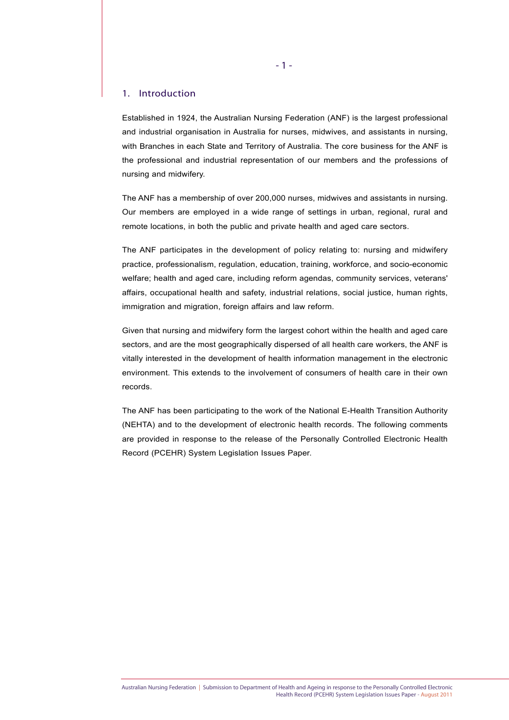#### 1. Introduction

Established in 1924, the Australian Nursing Federation (ANF) is the largest professional and industrial organisation in Australia for nurses, midwives, and assistants in nursing, with Branches in each State and Territory of Australia. The core business for the ANF is the professional and industrial representation of our members and the professions of nursing and midwifery.

The ANF has a membership of over 200,000 nurses, midwives and assistants in nursing. Our members are employed in a wide range of settings in urban, regional, rural and remote locations, in both the public and private health and aged care sectors.

The ANF participates in the development of policy relating to: nursing and midwifery practice, professionalism, regulation, education, training, workforce, and socio-economic welfare; health and aged care, including reform agendas, community services, veterans' affairs, occupational health and safety, industrial relations, social justice, human rights, immigration and migration, foreign affairs and law reform.

Given that nursing and midwifery form the largest cohort within the health and aged care sectors, and are the most geographically dispersed of all health care workers, the ANF is vitally interested in the development of health information management in the electronic environment. This extends to the involvement of consumers of health care in their own records.

The ANF has been participating to the work of the National E-Health Transition Authority (NEHTA) and to the development of electronic health records. The following comments are provided in response to the release of the Personally Controlled Electronic Health Record (PCEHR) System Legislation Issues Paper.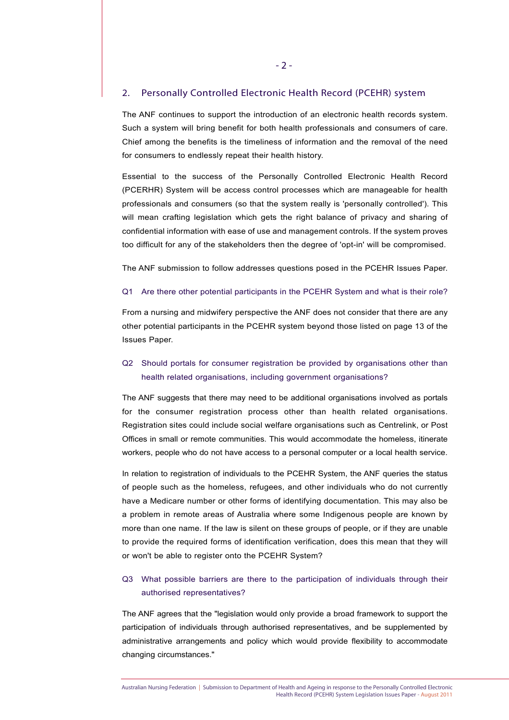#### 2. Personally Controlled Electronic Health Record (PCEHR) system

The ANF continues to support the introduction of an electronic health records system. Such a system will bring benefit for both health professionals and consumers of care. Chief among the benefits is the timeliness of information and the removal of the need for consumers to endlessly repeat their health history.

Essential to the success of the Personally Controlled Electronic Health Record (PCERHR) System will be access control processes which are manageable for health professionals and consumers (so that the system really is 'personally controlled'). This will mean crafting legislation which gets the right balance of privacy and sharing of confidential information with ease of use and management controls. If the system proves too difficult for any of the stakeholders then the degree of 'opt-in' will be compromised.

The ANF submission to follow addresses questions posed in the PCEHR Issues Paper.

#### Q1 Are there other potential participants in the PCEHR System and what is their role?

From a nursing and midwifery perspective the ANF does not consider that there are any other potential participants in the PCEHR system beyond those listed on page 13 of the Issues Paper.

## Q2 Should portals for consumer registration be provided by organisations other than health related organisations, including government organisations?

The ANF suggests that there may need to be additional organisations involved as portals for the consumer registration process other than health related organisations. Registration sites could include social welfare organisations such as Centrelink, or Post Offices in small or remote communities. This would accommodate the homeless, itinerate workers, people who do not have access to a personal computer or a local health service.

In relation to registration of individuals to the PCEHR System, the ANF queries the status of people such as the homeless, refugees, and other individuals who do not currently have a Medicare number or other forms of identifying documentation. This may also be a problem in remote areas of Australia where some Indigenous people are known by more than one name. If the law is silent on these groups of people, or if they are unable to provide the required forms of identification verification, does this mean that they will or won't be able to register onto the PCEHR System?

#### Q3 What possible barriers are there to the participation of individuals through their authorised representatives?

The ANF agrees that the "legislation would only provide a broad framework to support the participation of individuals through authorised representatives, and be supplemented by administrative arrangements and policy which would provide flexibility to accommodate changing circumstances."

Australian Nursing Federation | Submission to Department of Health and Ageing in response to the Personally Controlled Electronic Health Record (PCEHR) System Legislation Issues Paper - August 2011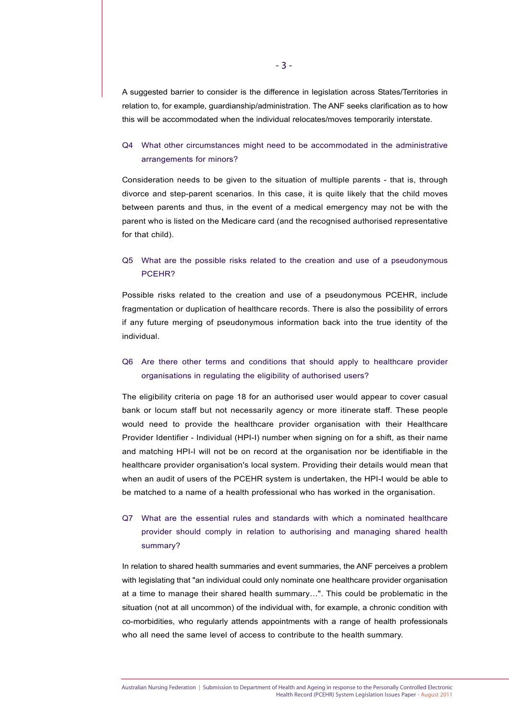A suggested barrier to consider is the difference in legislation across States/Territories in relation to, for example, guardianship/administration. The ANF seeks clarification as to how this will be accommodated when the individual relocates/moves temporarily interstate.

#### Q4 What other circumstances might need to be accommodated in the administrative arrangements for minors?

Consideration needs to be given to the situation of multiple parents - that is, through divorce and step-parent scenarios. In this case, it is quite likely that the child moves between parents and thus, in the event of a medical emergency may not be with the parent who is listed on the Medicare card (and the recognised authorised representative for that child).

#### Q5 What are the possible risks related to the creation and use of a pseudonymous PCEHR?

Possible risks related to the creation and use of a pseudonymous PCEHR, include fragmentation or duplication of healthcare records. There is also the possibility of errors if any future merging of pseudonymous information back into the true identity of the individual.

#### Q6 Are there other terms and conditions that should apply to healthcare provider organisations in regulating the eligibility of authorised users?

The eligibility criteria on page 18 for an authorised user would appear to cover casual bank or locum staff but not necessarily agency or more itinerate staff. These people would need to provide the healthcare provider organisation with their Healthcare Provider Identifier - Individual (HPI-I) number when signing on for a shift, as their name and matching HPI-I will not be on record at the organisation nor be identifiable in the healthcare provider organisation's local system. Providing their details would mean that when an audit of users of the PCEHR system is undertaken, the HPI-I would be able to be matched to a name of a health professional who has worked in the organisation.

# Q7 What are the essential rules and standards with which a nominated healthcare provider should comply in relation to authorising and managing shared health summary?

In relation to shared health summaries and event summaries, the ANF perceives a problem with legislating that "an individual could only nominate one healthcare provider organisation at a time to manage their shared health summary…". This could be problematic in the situation (not at all uncommon) of the individual with, for example, a chronic condition with co-morbidities, who regularly attends appointments with a range of health professionals who all need the same level of access to contribute to the health summary.

Australian Nursing Federation | Submission to Department of Health and Ageing in response to the Personally Controlled Electronic Health Record (PCEHR) System Legislation Issues Paper - August 2011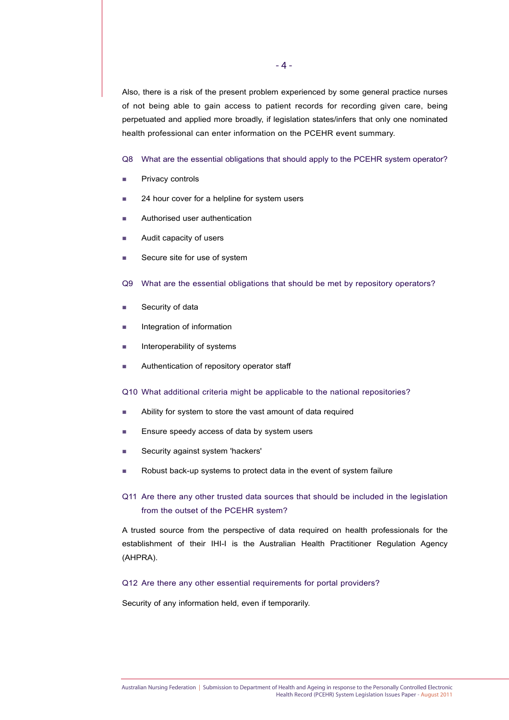Also, there is a risk of the present problem experienced by some general practice nurses of not being able to gain access to patient records for recording given care, being perpetuated and applied more broadly, if legislation states/infers that only one nominated health professional can enter information on the PCEHR event summary.

Q8 What are the essential obligations that should apply to the PCEHR system operator?

- **Privacy controls**
- 24 hour cover for a helpline for system users
- **Authorised user authentication**
- **Audit capacity of users**
- Secure site for use of system
- Q9 What are the essential obligations that should be met by repository operators?
- Security of data
- **Integration of information**
- $\blacksquare$  Interoperability of systems
- **Authentication of repository operator staff**

Q10 What additional criteria might be applicable to the national repositories?

- Ability for system to store the vast amount of data required
- Ensure speedy access of data by system users
- Security against system 'hackers'
- Robust back-up systems to protect data in the event of system failure
- Q11 Are there any other trusted data sources that should be included in the legislation from the outset of the PCEHR system?

A trusted source from the perspective of data required on health professionals for the establishment of their IHI-I is the Australian Health Practitioner Regulation Agency (AHPRA).

#### Q12 Are there any other essential requirements for portal providers?

Security of any information held, even if temporarily.

Australian Nursing Federation | Submission to Department of Health and Ageing in response to the Personally Controlled Electronic Health Record (PCEHR) System Legislation Issues Paper - August 2011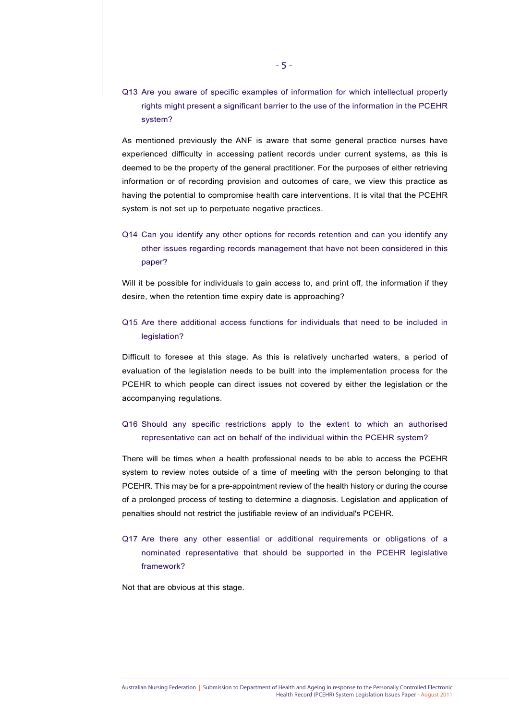Q13 Are you aware of specific examples of information for which intellectual property rights might present a significant barrier to the use of the information in the PCEHR system?

As mentioned previously the ANF is aware that some general practice nurses have experienced difficulty in accessing patient records under current systems, as this is deemed to be the property of the general practitioner. For the purposes of either retrieving information or of recording provision and outcomes of care, we view this practice as having the potential to compromise health care interventions. It is vital that the PCEHR system is not set up to perpetuate negative practices.

# Q14 Can you identify any other options for records retention and can you identify any other issues regarding records management that have not been considered in this paper?

Will it be possible for individuals to gain access to, and print off, the information if they desire, when the retention time expiry date is approaching?

# Q15 Are there additional access functions for individuals that need to be included in legislation?

Difficult to foresee at this stage. As this is relatively uncharted waters, a period of evaluation of the legislation needs to be built into the implementation process for the PCEHR to which people can direct issues not covered by either the legislation or the accompanying regulations.

#### Q16 Should any specific restrictions apply to the extent to which an authorised representative can act on behalf of the individual within the PCEHR system?

There will be times when a health professional needs to be able to access the PCEHR system to review notes outside of a time of meeting with the person belonging to that PCEHR. This may be for a pre-appointment review of the health history or during the course of a prolonged process of testing to determine a diagnosis. Legislation and application of penalties should not restrict the justifiable review of an individual's PCEHR.

Q17 Are there any other essential or additional requirements or obligations of a nominated representative that should be supported in the PCEHR legislative framework?

Not that are obvious at this stage.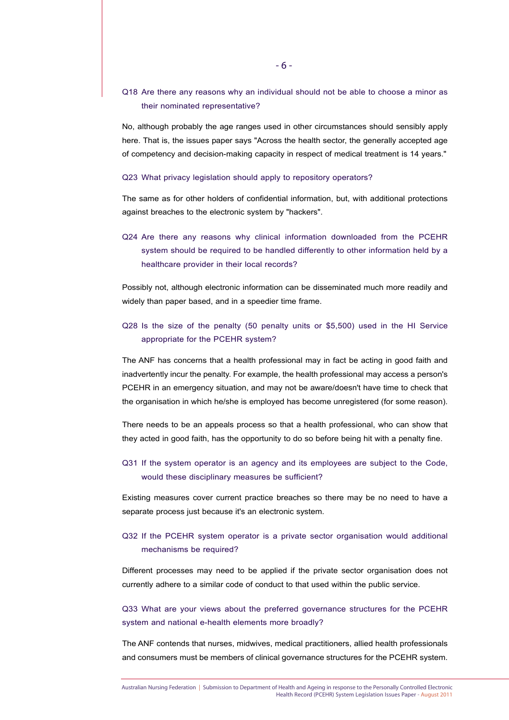## Q18 Are there any reasons why an individual should not be able to choose a minor as their nominated representative?

No, although probably the age ranges used in other circumstances should sensibly apply here. That is, the issues paper says "Across the health sector, the generally accepted age of competency and decision-making capacity in respect of medical treatment is 14 years."

#### Q23 What privacy legislation should apply to repository operators?

The same as for other holders of confidential information, but, with additional protections against breaches to the electronic system by "hackers".

Q24 Are there any reasons why clinical information downloaded from the PCEHR system should be required to be handled differently to other information held by a healthcare provider in their local records?

Possibly not, although electronic information can be disseminated much more readily and widely than paper based, and in a speedier time frame.

## Q28 Is the size of the penalty (50 penalty units or \$5,500) used in the HI Service appropriate for the PCEHR system?

The ANF has concerns that a health professional may in fact be acting in good faith and inadvertently incur the penalty. For example, the health professional may access a person's PCEHR in an emergency situation, and may not be aware/doesn't have time to check that the organisation in which he/she is employed has become unregistered (for some reason).

There needs to be an appeals process so that a health professional, who can show that they acted in good faith, has the opportunity to do so before being hit with a penalty fine.

### Q31 If the system operator is an agency and its employees are subject to the Code, would these disciplinary measures be sufficient?

Existing measures cover current practice breaches so there may be no need to have a separate process just because it's an electronic system.

#### Q32 If the PCEHR system operator is a private sector organisation would additional mechanisms be required?

Different processes may need to be applied if the private sector organisation does not currently adhere to a similar code of conduct to that used within the public service.

# Q33 What are your views about the preferred governance structures for the PCEHR system and national e-health elements more broadly?

The ANF contends that nurses, midwives, medical practitioners, allied health professionals and consumers must be members of clinical governance structures for the PCEHR system.

Australian Nursing Federation | Submission to Department of Health and Ageing in response to the Personally Controlled Electronic Health Record (PCEHR) System Legislation Issues Paper - August 2011